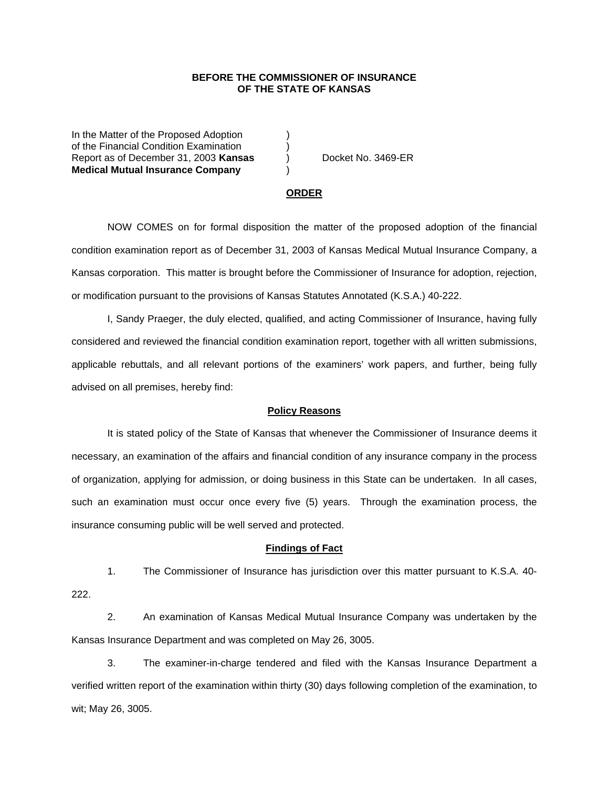## **BEFORE THE COMMISSIONER OF INSURANCE OF THE STATE OF KANSAS**

In the Matter of the Proposed Adoption of the Financial Condition Examination ) Report as of December 31, 2003 **Kansas** ) Docket No. 3469-ER **Medical Mutual Insurance Company** )

#### **ORDER**

 NOW COMES on for formal disposition the matter of the proposed adoption of the financial condition examination report as of December 31, 2003 of Kansas Medical Mutual Insurance Company, a Kansas corporation. This matter is brought before the Commissioner of Insurance for adoption, rejection, or modification pursuant to the provisions of Kansas Statutes Annotated (K.S.A.) 40-222.

 I, Sandy Praeger, the duly elected, qualified, and acting Commissioner of Insurance, having fully considered and reviewed the financial condition examination report, together with all written submissions, applicable rebuttals, and all relevant portions of the examiners' work papers, and further, being fully advised on all premises, hereby find:

### **Policy Reasons**

 It is stated policy of the State of Kansas that whenever the Commissioner of Insurance deems it necessary, an examination of the affairs and financial condition of any insurance company in the process of organization, applying for admission, or doing business in this State can be undertaken. In all cases, such an examination must occur once every five (5) years. Through the examination process, the insurance consuming public will be well served and protected.

#### **Findings of Fact**

 1. The Commissioner of Insurance has jurisdiction over this matter pursuant to K.S.A. 40- 222.

 2. An examination of Kansas Medical Mutual Insurance Company was undertaken by the Kansas Insurance Department and was completed on May 26, 3005.

 3. The examiner-in-charge tendered and filed with the Kansas Insurance Department a verified written report of the examination within thirty (30) days following completion of the examination, to wit; May 26, 3005.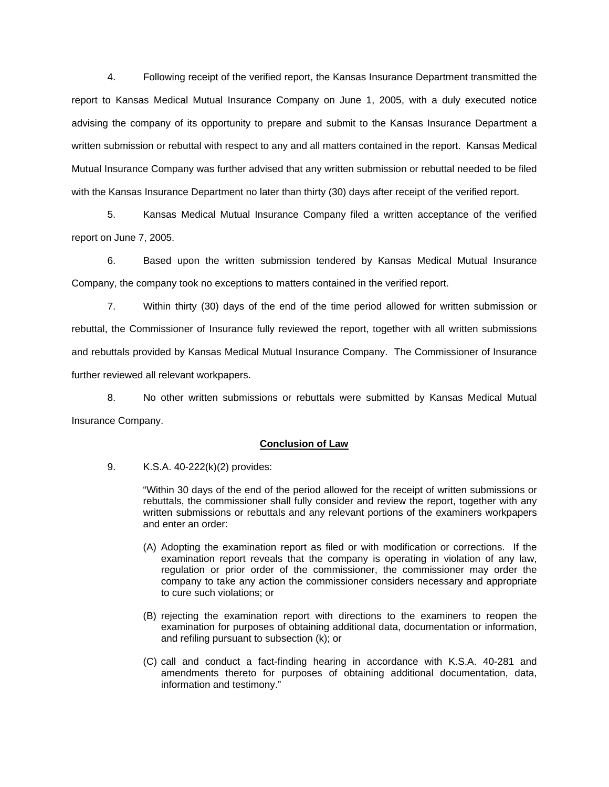4. Following receipt of the verified report, the Kansas Insurance Department transmitted the report to Kansas Medical Mutual Insurance Company on June 1, 2005, with a duly executed notice advising the company of its opportunity to prepare and submit to the Kansas Insurance Department a written submission or rebuttal with respect to any and all matters contained in the report. Kansas Medical Mutual Insurance Company was further advised that any written submission or rebuttal needed to be filed with the Kansas Insurance Department no later than thirty (30) days after receipt of the verified report.

 5. Kansas Medical Mutual Insurance Company filed a written acceptance of the verified report on June 7, 2005.

 6. Based upon the written submission tendered by Kansas Medical Mutual Insurance Company, the company took no exceptions to matters contained in the verified report.

 7. Within thirty (30) days of the end of the time period allowed for written submission or rebuttal, the Commissioner of Insurance fully reviewed the report, together with all written submissions and rebuttals provided by Kansas Medical Mutual Insurance Company. The Commissioner of Insurance further reviewed all relevant workpapers.

 8. No other written submissions or rebuttals were submitted by Kansas Medical Mutual Insurance Company.

## **Conclusion of Law**

9. K.S.A. 40-222(k)(2) provides:

"Within 30 days of the end of the period allowed for the receipt of written submissions or rebuttals, the commissioner shall fully consider and review the report, together with any written submissions or rebuttals and any relevant portions of the examiners workpapers and enter an order:

- (A) Adopting the examination report as filed or with modification or corrections. If the examination report reveals that the company is operating in violation of any law, regulation or prior order of the commissioner, the commissioner may order the company to take any action the commissioner considers necessary and appropriate to cure such violations; or
- (B) rejecting the examination report with directions to the examiners to reopen the examination for purposes of obtaining additional data, documentation or information, and refiling pursuant to subsection (k); or
- (C) call and conduct a fact-finding hearing in accordance with K.S.A. 40-281 and amendments thereto for purposes of obtaining additional documentation, data, information and testimony."